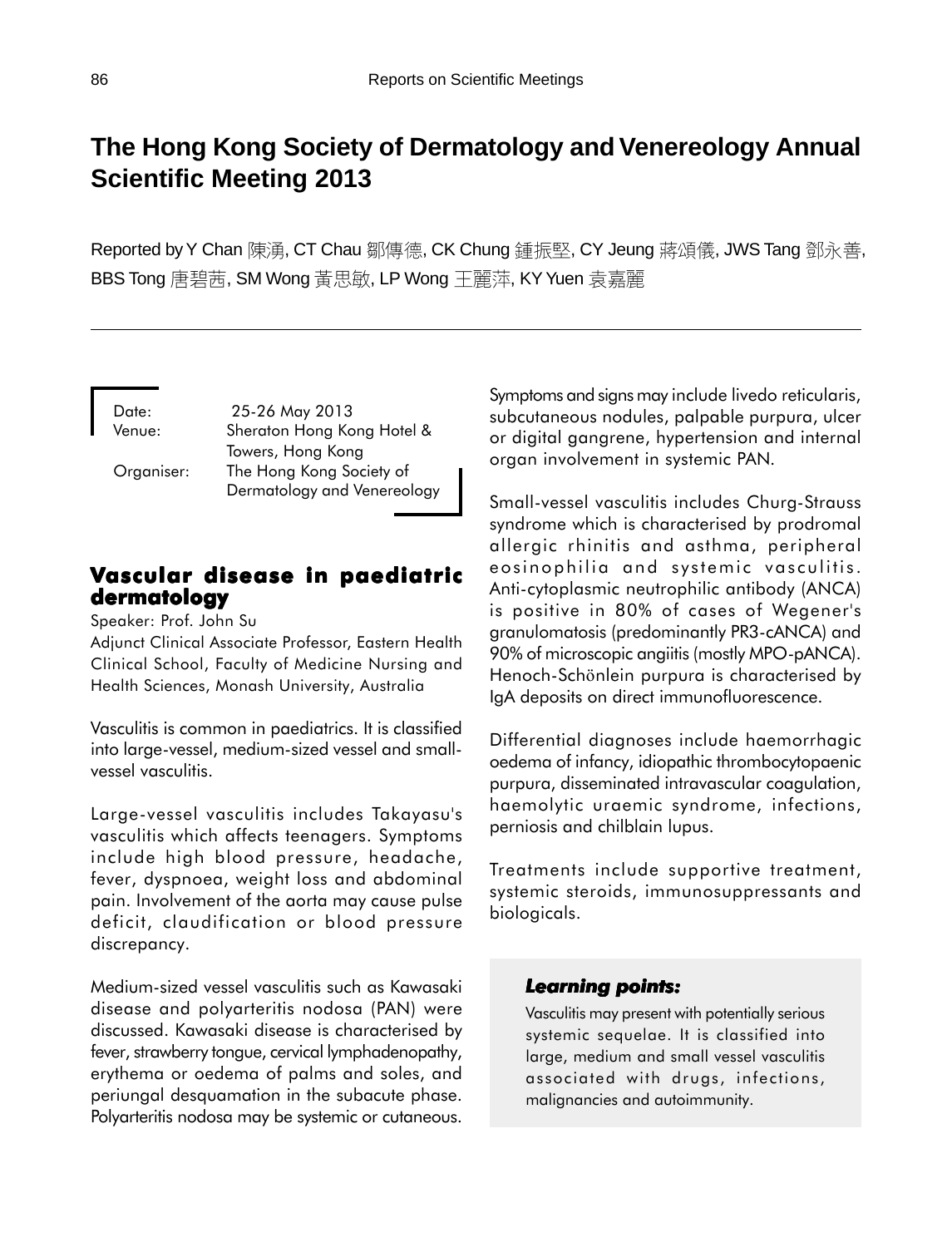# **The Hong Kong Society of Dermatology and Venereology Annual Scientific Meeting 2013**

Reported by Y Chan 陳湧, CT Chau 鄒傳德, CK Chung 鍾振堅, CY Jeung 蔣頌儀, JWS Tang 鄧永善, BBS Tong 唐碧茜, SM Wong 黃思敏, LP Wong 王麗萍, KY Yuen 袁嘉麗

Date: 25-26 May 2013 Venue: Sheraton Hong Kong Hotel & Towers, Hong Kong Organiser: The Hong Kong Society of Dermatology and Venereology

# **Vascular disease in paediatric dermatology**

Speaker: Prof. John Su

Adjunct Clinical Associate Professor, Eastern Health Clinical School, Faculty of Medicine Nursing and Health Sciences, Monash University, Australia

Vasculitis is common in paediatrics. It is classified into large-vessel, medium-sized vessel and smallvessel vasculitis.

Large-vessel vasculitis includes Takayasu's vasculitis which affects teenagers. Symptoms include high blood pressure, headache, fever, dyspnoea, weight loss and abdominal pain. Involvement of the aorta may cause pulse deficit, claudification or blood pressure discrepancy.

Medium-sized vessel vasculitis such as Kawasaki disease and polyarteritis nodosa (PAN) were discussed. Kawasaki disease is characterised by fever, strawberry tongue, cervical lymphadenopathy, erythema or oedema of palms and soles, and periungal desquamation in the subacute phase. Polyarteritis nodosa may be systemic or cutaneous.

Symptoms and signs may include livedo reticularis, subcutaneous nodules, palpable purpura, ulcer or digital gangrene, hypertension and internal organ involvement in systemic PAN.

Small-vessel vasculitis includes Churg-Strauss syndrome which is characterised by prodromal allergic rhinitis and asthma, peripheral eosinophilia and systemic vasculitis. Anti-cytoplasmic neutrophilic antibody (ANCA) is positive in 80% of cases of Wegener's granulomatosis (predominantly PR3-cANCA) and 90% of microscopic angiitis (mostly MPO-pANCA). Henoch-Schönlein purpura is characterised by IgA deposits on direct immunofluorescence.

Differential diagnoses include haemorrhagic oedema of infancy, idiopathic thrombocytopaenic purpura, disseminated intravascular coagulation, haemolytic uraemic syndrome, infections, perniosis and chilblain lupus.

Treatments include supportive treatment, systemic steroids, immunosuppressants and biologicals.

# *Learning points: Learning points:*

Vasculitis may present with potentially serious systemic sequelae. It is classified into large, medium and small vessel vasculitis associated with drugs, infections, malignancies and autoimmunity.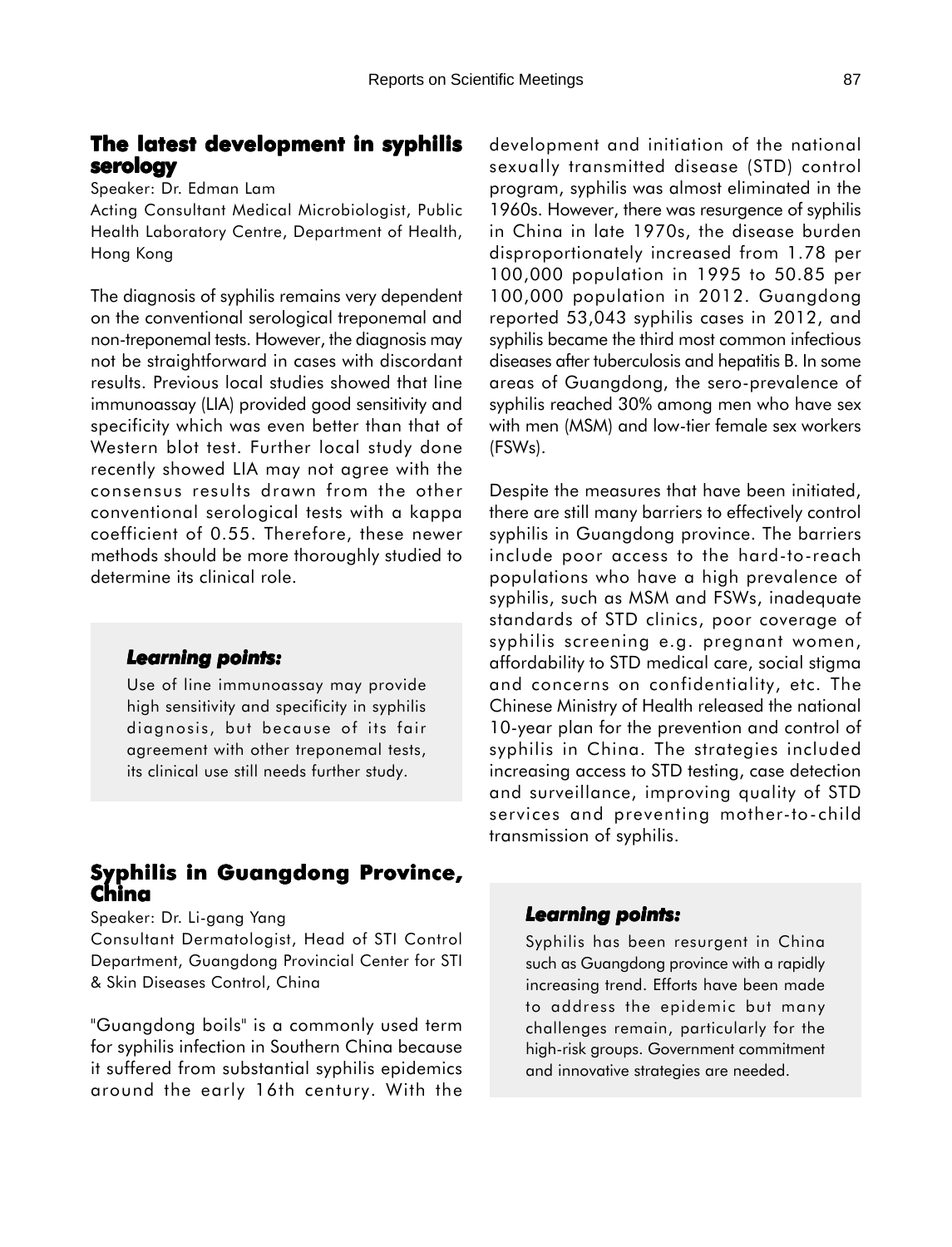# **The latest development in syphilis serology**

Speaker: Dr. Edman Lam

Acting Consultant Medical Microbiologist, Public Health Laboratory Centre, Department of Health, Hong Kong

The diagnosis of syphilis remains very dependent on the conventional serological treponemal and non-treponemal tests. However, the diagnosis may not be straightforward in cases with discordant results. Previous local studies showed that line immunoassay (LIA) provided good sensitivity and specificity which was even better than that of Western blot test. Further local study done recently showed LIA may not agree with the consensus results drawn from the other conventional serological tests with a kappa coefficient of 0.55. Therefore, these newer methods should be more thoroughly studied to determine its clinical role.

### *Learning points: Learning*

Use of line immunoassay may provide high sensitivity and specificity in syphilis diagnosis, but because of its fair agreement with other treponemal tests, its clinical use still needs further study.

# **Syphilis in Guangdong Province, China**

Speaker: Dr. Li-gang Yang

Consultant Dermatologist, Head of STI Control Department, Guangdong Provincial Center for STI & Skin Diseases Control, China

"Guangdong boils" is a commonly used term for syphilis infection in Southern China because it suffered from substantial syphilis epidemics around the early 16th century. With the

development and initiation of the national sexually transmitted disease (STD) control program, syphilis was almost eliminated in the 1960s. However, there was resurgence of syphilis in China in late 1970s, the disease burden disproportionately increased from 1.78 per 100,000 population in 1995 to 50.85 per 100,000 population in 2012. Guangdong reported 53,043 syphilis cases in 2012, and syphilis became the third most common infectious diseases after tuberculosis and hepatitis B. In some areas of Guangdong, the sero-prevalence of syphilis reached 30% among men who have sex with men (MSM) and low-tier female sex workers (FSWs).

Despite the measures that have been initiated, there are still many barriers to effectively control syphilis in Guangdong province. The barriers include poor access to the hard-to-reach populations who have a high prevalence of syphilis, such as MSM and FSWs, inadequate standards of STD clinics, poor coverage of syphilis screening e.g. pregnant women, affordability to STD medical care, social stigma and concerns on confidentiality, etc. The Chinese Ministry of Health released the national 10-year plan for the prevention and control of syphilis in China. The strategies included increasing access to STD testing, case detection and surveillance, improving quality of STD services and preventing mother-to-child transmission of syphilis.

### *Learning points: Learning points:*

Syphilis has been resurgent in China such as Guangdong province with a rapidly increasing trend. Efforts have been made to address the epidemic but many challenges remain, particularly for the high-risk groups. Government commitment and innovative strategies are needed.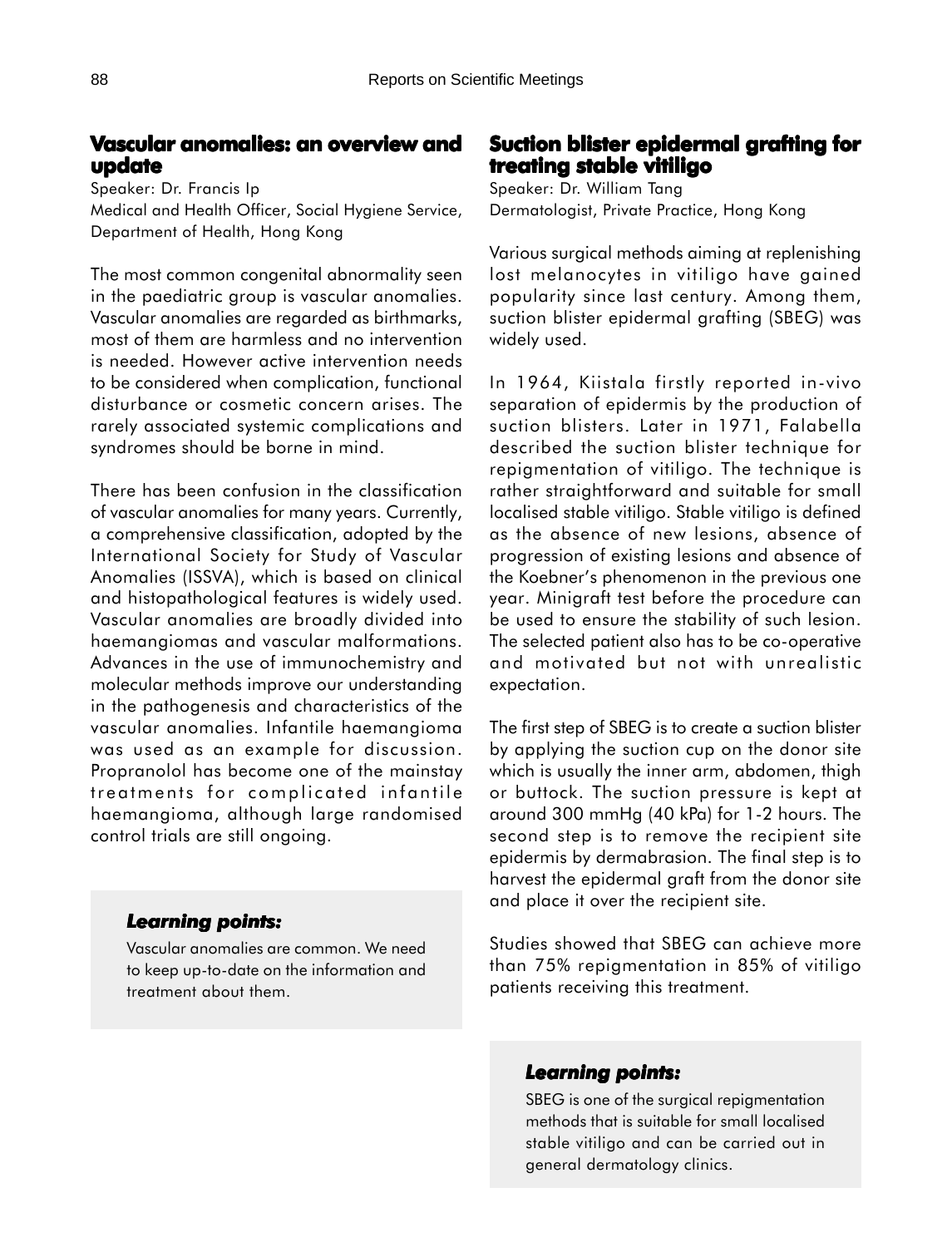## **Vascular anomalies: an overview and update**

Speaker: Dr. Francis Ip Medical and Health Officer, Social Hygiene Service, Department of Health, Hong Kong

The most common congenital abnormality seen in the paediatric group is vascular anomalies. Vascular anomalies are regarded as birthmarks, most of them are harmless and no intervention is needed. However active intervention needs to be considered when complication, functional disturbance or cosmetic concern arises. The rarely associated systemic complications and syndromes should be borne in mind.

There has been confusion in the classification of vascular anomalies for many years. Currently, a comprehensive classification, adopted by the International Society for Study of Vascular Anomalies (ISSVA), which is based on clinical and histopathological features is widely used. Vascular anomalies are broadly divided into haemangiomas and vascular malformations. Advances in the use of immunochemistry and molecular methods improve our understanding in the pathogenesis and characteristics of the vascular anomalies. Infantile haemangioma was used as an example for discussion. Propranolol has become one of the mainstay treatments for complicated infantile haemangioma, although large randomised control trials are still ongoing.

### *Learning points: Learning*

Vascular anomalies are common. We need to keep up-to-date on the information and treatment about them.

# **Suction blister epidermal grafting for treating stable vitiligo**

Speaker: Dr. William Tang Dermatologist, Private Practice, Hong Kong

Various surgical methods aiming at replenishing lost melanocytes in vitiligo have gained popularity since last century. Among them, suction blister epidermal grafting (SBEG) was widely used.

In 1964, Kiistala firstly reported in-vivo separation of epidermis by the production of suction blisters. Later in 1971, Falabella described the suction blister technique for repigmentation of vitiligo. The technique is rather straightforward and suitable for small localised stable vitiligo. Stable vitiligo is defined as the absence of new lesions, absence of progression of existing lesions and absence of the Koebner's phenomenon in the previous one year. Minigraft test before the procedure can be used to ensure the stability of such lesion. The selected patient also has to be co-operative and motivated but not with unrealistic expectation.

The first step of SBEG is to create a suction blister by applying the suction cup on the donor site which is usually the inner arm, abdomen, thigh or buttock. The suction pressure is kept at around 300 mmHg (40 kPa) for 1-2 hours. The second step is to remove the recipient site epidermis by dermabrasion. The final step is to harvest the epidermal graft from the donor site and place it over the recipient site.

Studies showed that SBEG can achieve more than 75% repigmentation in 85% of vitiligo patients receiving this treatment.

### *Learning points: Learning points:*

SBEG is one of the surgical repigmentation methods that is suitable for small localised stable vitiligo and can be carried out in general dermatology clinics.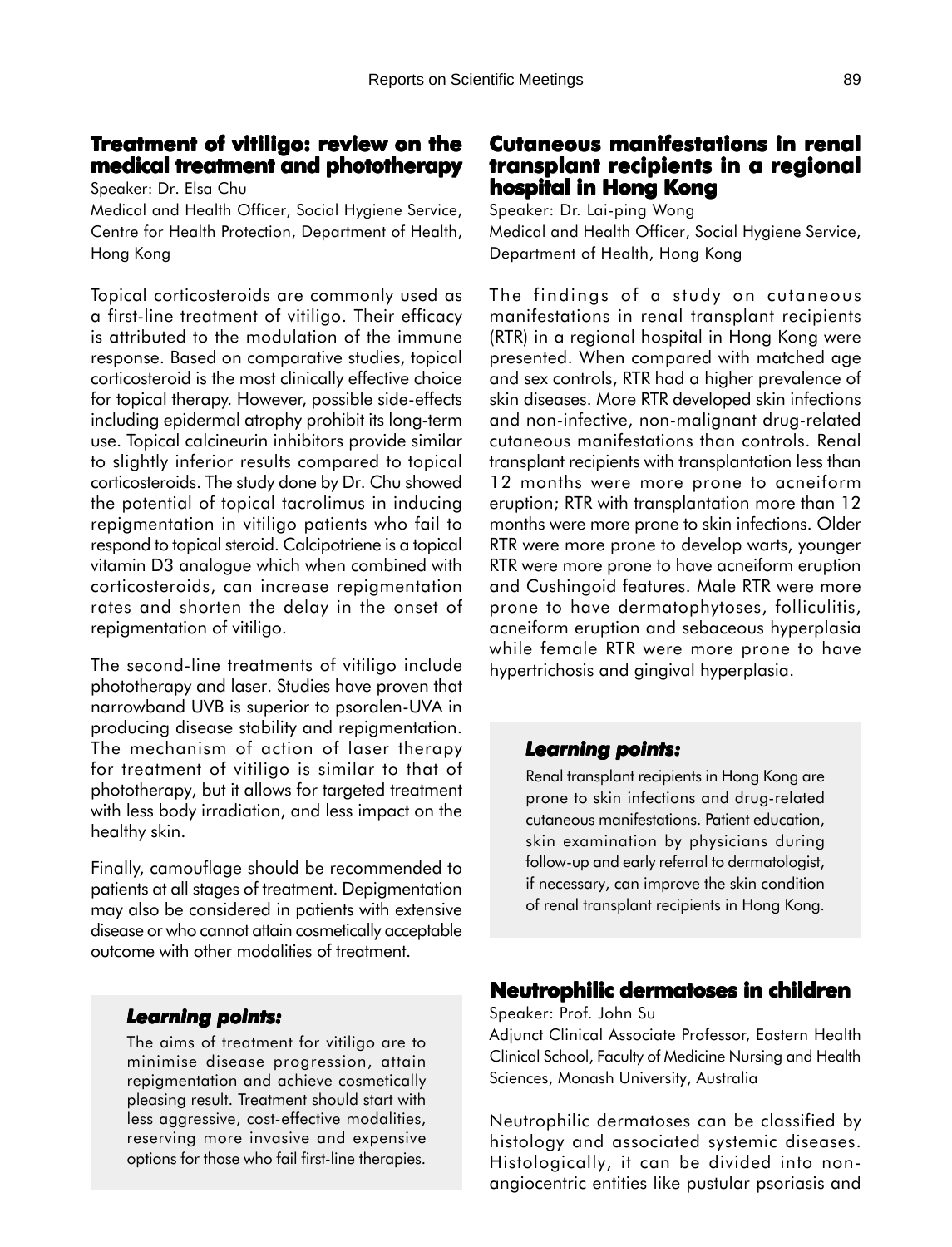# **Treatment of vitiligo: review on the medical treatment and phototherapy**

Speaker: Dr. Elsa Chu

Medical and Health Officer, Social Hygiene Service, Centre for Health Protection, Department of Health, Hong Kong

Topical corticosteroids are commonly used as a first-line treatment of vitiligo. Their efficacy is attributed to the modulation of the immune response. Based on comparative studies, topical corticosteroid is the most clinically effective choice for topical therapy. However, possible side-effects including epidermal atrophy prohibit its long-term use. Topical calcineurin inhibitors provide similar to slightly inferior results compared to topical corticosteroids. The study done by Dr. Chu showed the potential of topical tacrolimus in inducing repigmentation in vitiligo patients who fail to respond to topical steroid. Calcipotriene is a topical vitamin D3 analogue which when combined with corticosteroids, can increase repigmentation rates and shorten the delay in the onset of repigmentation of vitiligo.

The second-line treatments of vitiligo include phototherapy and laser. Studies have proven that narrowband UVB is superior to psoralen-UVA in producing disease stability and repigmentation. The mechanism of action of laser therapy for treatment of vitiligo is similar to that of phototherapy, but it allows for targeted treatment with less body irradiation, and less impact on the healthy skin.

Finally, camouflage should be recommended to patients at all stages of treatment. Depigmentation may also be considered in patients with extensive disease or who cannot attain cosmetically acceptable outcome with other modalities of treatment.

### *Learning points: Learning*

The aims of treatment for vitiligo are to minimise disease progression, attain repigmentation and achieve cosmetically pleasing result. Treatment should start with less aggressive, cost-effective modalities, reserving more invasive and expensive options for those who fail first-line therapies.

# **Cutaneous manifestations in renal renal transplant recipients in a regional transplant recipients in a regional hospital in Hong Kong**

Speaker: Dr. Lai-ping Wong Medical and Health Officer, Social Hygiene Service, Department of Health, Hong Kong

The findings of a study on cutaneous manifestations in renal transplant recipients (RTR) in a regional hospital in Hong Kong were presented. When compared with matched age and sex controls, RTR had a higher prevalence of skin diseases. More RTR developed skin infections and non-infective, non-malignant drug-related cutaneous manifestations than controls. Renal transplant recipients with transplantation less than 12 months were more prone to acneiform eruption; RTR with transplantation more than 12 months were more prone to skin infections. Older RTR were more prone to develop warts, younger RTR were more prone to have acneiform eruption and Cushingoid features. Male RTR were more prone to have dermatophytoses, folliculitis, acneiform eruption and sebaceous hyperplasia while female RTR were more prone to have hypertrichosis and gingival hyperplasia.

### *Learning points: Learning points:*

Renal transplant recipients in Hong Kong are prone to skin infections and drug-related cutaneous manifestations. Patient education, skin examination by physicians during follow-up and early referral to dermatologist, if necessary, can improve the skin condition of renal transplant recipients in Hong Kong.

#### **Neutrophilic dermatoses in children**

Speaker: Prof. John Su

Adjunct Clinical Associate Professor, Eastern Health Clinical School, Faculty of Medicine Nursing and Health Sciences, Monash University, Australia

Neutrophilic dermatoses can be classified by histology and associated systemic diseases. Histologically, it can be divided into nonangiocentric entities like pustular psoriasis and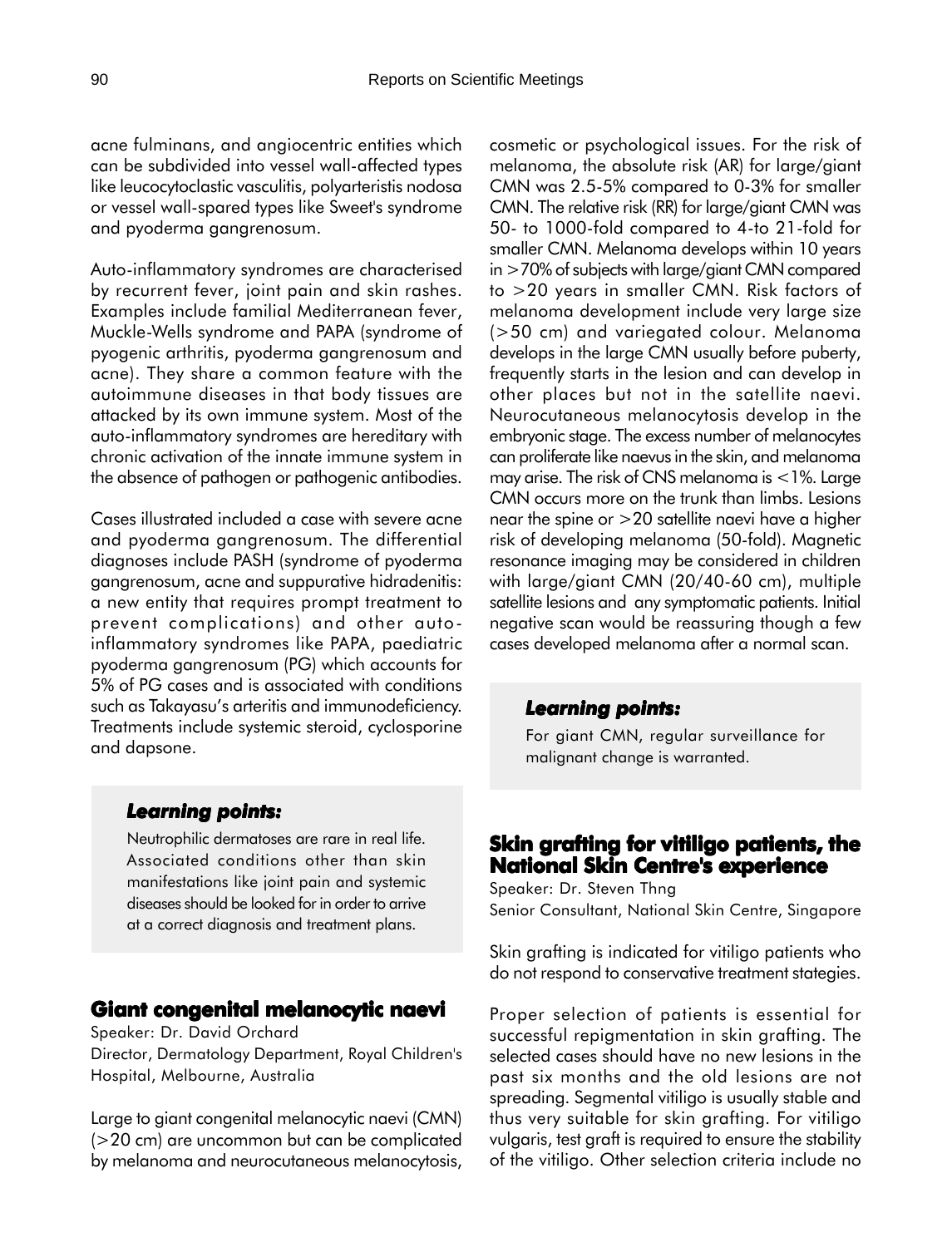acne fulminans, and angiocentric entities which can be subdivided into vessel wall-affected types like leucocytoclastic vasculitis, polyarteristis nodosa or vessel wall-spared types like Sweet's syndrome and pyoderma gangrenosum.

Auto-inflammatory syndromes are characterised by recurrent fever, joint pain and skin rashes. Examples include familial Mediterranean fever, Muckle-Wells syndrome and PAPA (syndrome of pyogenic arthritis, pyoderma gangrenosum and acne). They share a common feature with the autoimmune diseases in that body tissues are attacked by its own immune system. Most of the auto-inflammatory syndromes are hereditary with chronic activation of the innate immune system in the absence of pathogen or pathogenic antibodies.

Cases illustrated included a case with severe acne and pyoderma gangrenosum. The differential diagnoses include PASH (syndrome of pyoderma gangrenosum, acne and suppurative hidradenitis: a new entity that requires prompt treatment to prevent complications) and other autoinflammatory syndromes like PAPA, paediatric pyoderma gangrenosum (PG) which accounts for 5% of PG cases and is associated with conditions such as Takayasu's arteritis and immunodeficiency. Treatments include systemic steroid, cyclosporine and dapsone.

cosmetic or psychological issues. For the risk of melanoma, the absolute risk (AR) for large/giant CMN was 2.5-5% compared to 0-3% for smaller CMN. The relative risk (RR) for large/giant CMN was 50- to 1000-fold compared to 4-to 21-fold for smaller CMN. Melanoma develops within 10 years in >70% of subjects with large/giant CMN compared to >20 years in smaller CMN. Risk factors of melanoma development include very large size (>50 cm) and variegated colour. Melanoma develops in the large CMN usually before puberty, frequently starts in the lesion and can develop in other places but not in the satellite naevi. Neurocutaneous melanocytosis develop in the embryonic stage. The excess number of melanocytes can proliferate like naevus in the skin, and melanoma may arise. The risk of CNS melanoma is  $<$ 1%. Large CMN occurs more on the trunk than limbs. Lesions near the spine or >20 satellite naevi have a higher risk of developing melanoma (50-fold). Magnetic resonance imaging may be considered in children with large/giant CMN (20/40-60 cm), multiple satellite lesions and any symptomatic patients. Initial negative scan would be reassuring though a few cases developed melanoma after a normal scan.

#### *Learning points: Learning points:*

For giant CMN, regular surveillance for malignant change is warranted.

#### *Learning points: Learning*

Neutrophilic dermatoses are rare in real life. Associated conditions other than skin manifestations like joint pain and systemic diseases should be looked for in order to arrive at a correct diagnosis and treatment plans.

#### **Giant congenital melanocytic naevi**

Speaker: Dr. David Orchard Director, Dermatology Department, Royal Children's Hospital, Melbourne, Australia

Large to giant congenital melanocytic naevi (CMN) (>20 cm) are uncommon but can be complicated by melanoma and neurocutaneous melanocytosis,

# **Skin grafting for vitiligo patients, the National Skin Centre's experience**

Speaker: Dr. Steven Thng Senior Consultant, National Skin Centre, Singapore

Skin grafting is indicated for vitiligo patients who do not respond to conservative treatment stategies.

Proper selection of patients is essential for successful repigmentation in skin grafting. The selected cases should have no new lesions in the past six months and the old lesions are not spreading. Segmental vitiligo is usually stable and thus very suitable for skin grafting. For vitiligo vulgaris, test graft is required to ensure the stability of the vitiligo. Other selection criteria include no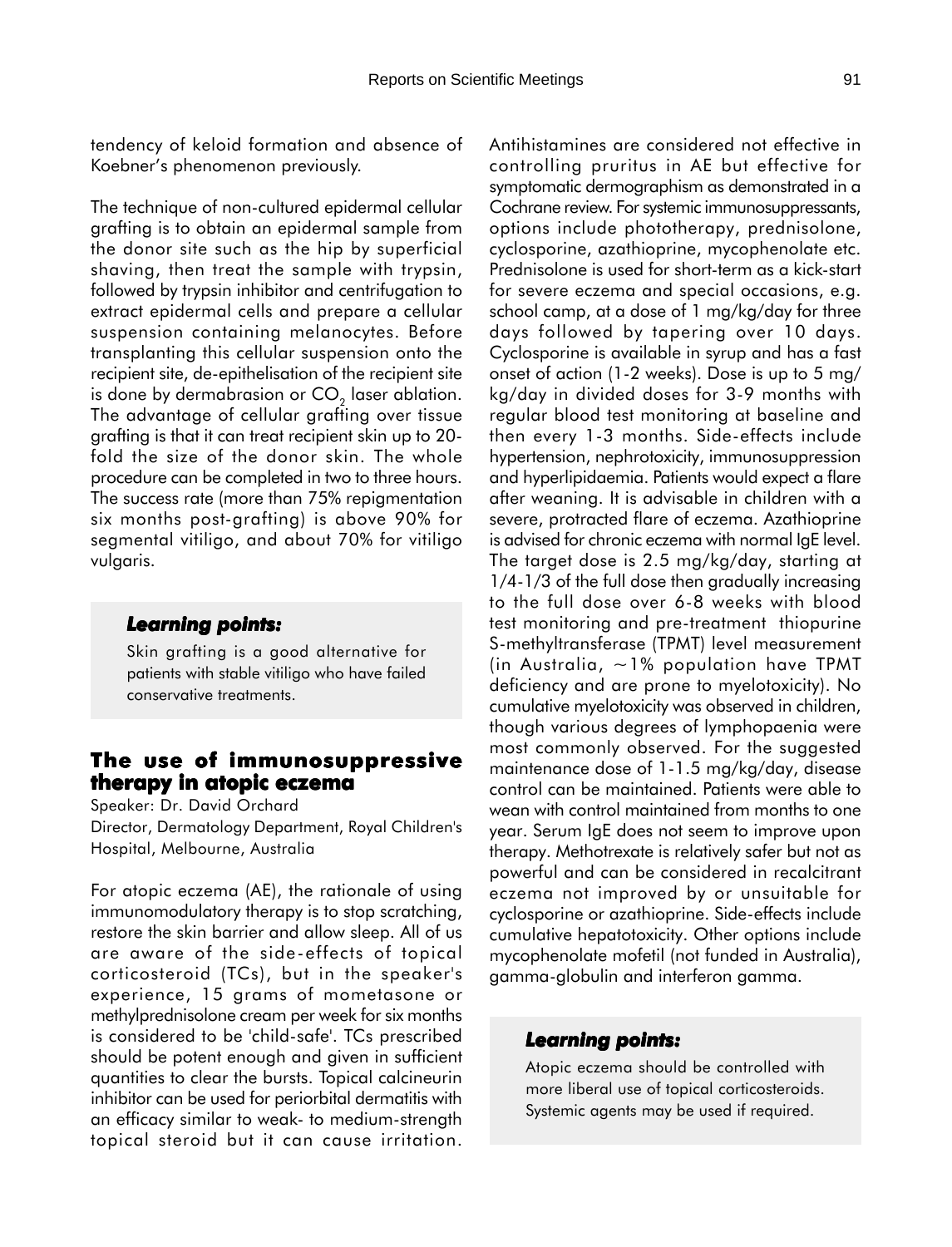tendency of keloid formation and absence of Koebner's phenomenon previously.

The technique of non-cultured epidermal cellular grafting is to obtain an epidermal sample from the donor site such as the hip by superficial shaving, then treat the sample with trypsin, followed by trypsin inhibitor and centrifugation to extract epidermal cells and prepare a cellular suspension containing melanocytes. Before transplanting this cellular suspension onto the recipient site, de-epithelisation of the recipient site is done by dermabrasion or  $CO<sub>2</sub>$  laser ablation. The advantage of cellular grafting over tissue grafting is that it can treat recipient skin up to 20 fold the size of the donor skin. The whole procedure can be completed in two to three hours. The success rate (more than 75% repigmentation six months post-grafting) is above 90% for segmental vitiligo, and about 70% for vitiligo vulgaris.

### *Learning points: Learning*

Skin grafting is a good alternative for patients with stable vitiligo who have failed conservative treatments.

## **The use of immunosuppressive therapy in atopic eczema**

Speaker: Dr. David Orchard

Director, Dermatology Department, Royal Children's Hospital, Melbourne, Australia

For atopic eczema (AE), the rationale of using immunomodulatory therapy is to stop scratching, restore the skin barrier and allow sleep. All of us are aware of the side-effects of topical corticosteroid (TCs), but in the speaker's experience, 15 grams of mometasone or methylprednisolone cream per week for six months is considered to be 'child-safe'. TCs prescribed should be potent enough and given in sufficient quantities to clear the bursts. Topical calcineurin inhibitor can be used for periorbital dermatitis with an efficacy similar to weak- to medium-strength topical steroid but it can cause irritation.

Antihistamines are considered not effective in controlling pruritus in AE but effective for symptomatic dermographism as demonstrated in a Cochrane review. For systemic immunosuppressants, options include phototherapy, prednisolone, cyclosporine, azathioprine, mycophenolate etc. Prednisolone is used for short-term as a kick-start for severe eczema and special occasions, e.g. school camp, at a dose of 1 mg/kg/day for three days followed by tapering over 10 days. Cyclosporine is available in syrup and has a fast onset of action (1-2 weeks). Dose is up to 5 mg/ kg/day in divided doses for 3-9 months with regular blood test monitoring at baseline and then every 1-3 months. Side-effects include hypertension, nephrotoxicity, immunosuppression and hyperlipidaemia. Patients would expect a flare after weaning. It is advisable in children with a severe, protracted flare of eczema. Azathioprine is advised for chronic eczema with normal IgE level. The target dose is 2.5 mg/kg/day, starting at 1/4-1/3 of the full dose then gradually increasing to the full dose over 6-8 weeks with blood test monitoring and pre-treatment thiopurine S-methyltransferase (TPMT) level measurement (in Australia,  $\sim$  1% population have TPMT deficiency and are prone to myelotoxicity). No cumulative myelotoxicity was observed in children, though various degrees of lymphopaenia were most commonly observed. For the suggested maintenance dose of 1-1.5 mg/kg/day, disease control can be maintained. Patients were able to wean with control maintained from months to one year. Serum IgE does not seem to improve upon therapy. Methotrexate is relatively safer but not as powerful and can be considered in recalcitrant eczema not improved by or unsuitable for cyclosporine or azathioprine. Side-effects include cumulative hepatotoxicity. Other options include mycophenolate mofetil (not funded in Australia), gamma-globulin and interferon gamma.

### *Learning points: Learning points:*

Atopic eczema should be controlled with more liberal use of topical corticosteroids. Systemic agents may be used if required.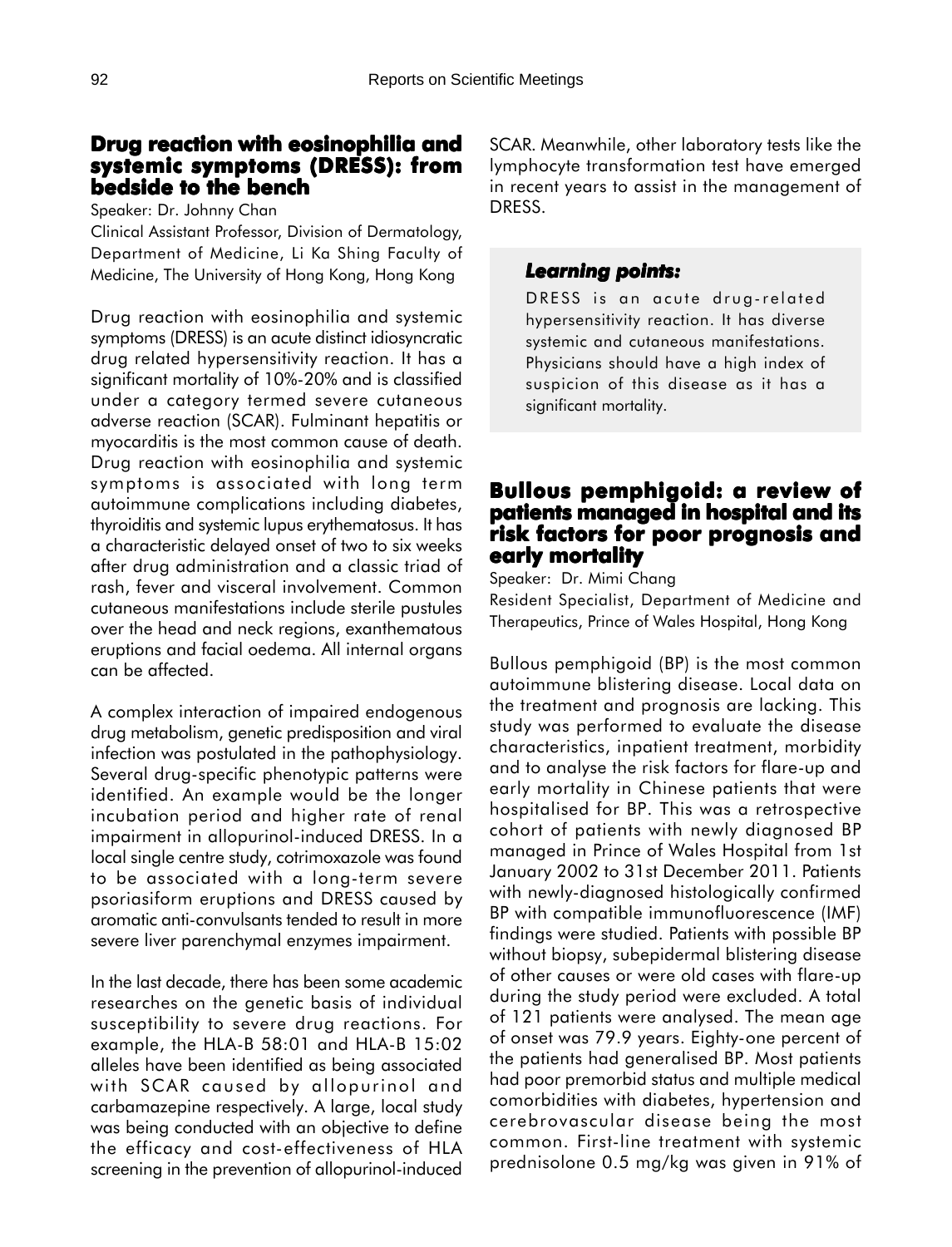# **Drug reaction with eosinophilia and systemic symptoms (DRESS): from bedside to the bench**

Speaker: Dr. Johnny Chan

Clinical Assistant Professor, Division of Dermatology, Department of Medicine, Li Ka Shing Faculty of Medicine, The University of Hong Kong, Hong Kong

Drug reaction with eosinophilia and systemic symptoms (DRESS) is an acute distinct idiosyncratic drug related hypersensitivity reaction. It has a significant mortality of 10%-20% and is classified under a category termed severe cutaneous adverse reaction (SCAR). Fulminant hepatitis or myocarditis is the most common cause of death. Drug reaction with eosinophilia and systemic symptoms is associated with long term autoimmune complications including diabetes, thyroiditis and systemic lupus erythematosus. It has a characteristic delayed onset of two to six weeks after drug administration and a classic triad of rash, fever and visceral involvement. Common cutaneous manifestations include sterile pustules over the head and neck regions, exanthematous eruptions and facial oedema. All internal organs can be affected.

A complex interaction of impaired endogenous drug metabolism, genetic predisposition and viral infection was postulated in the pathophysiology. Several drug-specific phenotypic patterns were identified. An example would be the longer incubation period and higher rate of renal impairment in allopurinol-induced DRESS. In a local single centre study, cotrimoxazole was found to be associated with a long-term severe psoriasiform eruptions and DRESS caused by aromatic anti-convulsants tended to result in more severe liver parenchymal enzymes impairment.

In the last decade, there has been some academic researches on the genetic basis of individual susceptibility to severe drug reactions. For example, the HLA-B 58:01 and HLA-B 15:02 alleles have been identified as being associated with SCAR caused by allopurinol and carbamazepine respectively. A large, local study was being conducted with an objective to define the efficacy and cost-effectiveness of HLA screening in the prevention of allopurinol-induced

SCAR. Meanwhile, other laboratory tests like the lymphocyte transformation test have emerged in recent years to assist in the management of DRESS.

### *Learning points: Learning points:*

DRESS is an acute drug-related hypersensitivity reaction. It has diverse systemic and cutaneous manifestations. Physicians should have a high index of suspicion of this disease as it has a significant mortality.

# **Bullous pemphigoid: a review of Bullous a of patients managed in hospital and its risk factors for poor prognosis and early mortality**

Speaker: Dr. Mimi Chang Resident Specialist, Department of Medicine and Therapeutics, Prince of Wales Hospital, Hong Kong

Bullous pemphigoid (BP) is the most common autoimmune blistering disease. Local data on the treatment and prognosis are lacking. This study was performed to evaluate the disease characteristics, inpatient treatment, morbidity and to analyse the risk factors for flare-up and early mortality in Chinese patients that were hospitalised for BP. This was a retrospective cohort of patients with newly diagnosed BP managed in Prince of Wales Hospital from 1st January 2002 to 31st December 2011. Patients with newly-diagnosed histologically confirmed BP with compatible immunofluorescence (IMF) findings were studied. Patients with possible BP without biopsy, subepidermal blistering disease of other causes or were old cases with flare-up during the study period were excluded. A total of 121 patients were analysed. The mean age of onset was 79.9 years. Eighty-one percent of the patients had generalised BP. Most patients had poor premorbid status and multiple medical comorbidities with diabetes, hypertension and cerebrovascular disease being the most common. First-line treatment with systemic prednisolone 0.5 mg/kg was given in 91% of